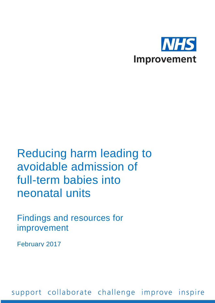

### Reducing harm leading to avoidable admission of full-term babies into neonatal units

Findings and resources for improvement

February 2017

support collaborate challenge improve inspire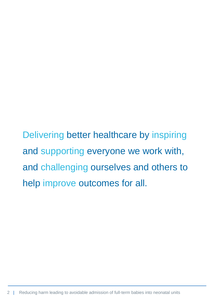Delivering better healthcare by inspiring and supporting everyone we work with, and challenging ourselves and others to help improve outcomes for all.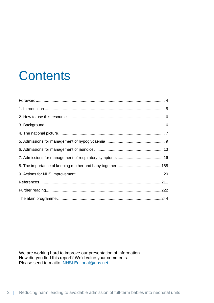### <span id="page-2-0"></span>**Contents**

We are working hard to improve our presentation of information. How did you find this report? We'd value your comments. Please send to [mailto: NHSI.Editorial@nhs.net](mailto:Editorial%20(NHS%20IMPROVEMENT%20-%20T1520)%20%3cNHSI.Editorial@nhs.net%3e)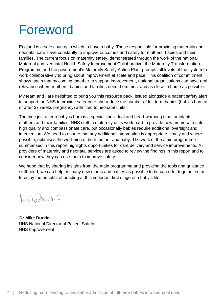### Foreword

England is a safe country in which to have a baby. Those responsible for providing maternity and neonatal care strive constantly to improve outcomes and safety for mothers, babies and their families. The current focus on maternity safety, demonstrated through the work of the national Maternal and Neonatal Health Safety Improvement Collaborative, the Maternity Transformation Programme and the government's Maternity Safety Action Plan, prompts all levels of the system to work collaboratively to bring about improvement at scale and pace. This coalition of commitment shows again that by coming together to support improvement, national organisations can have real relevance where mothers, babies and families need them most and as close to home as possible.

My team and I are delighted to bring you this resource pack, issued alongside a patient safety alert to support the NHS to provide safer care and reduce the number of full-term babies (babies born at or after 37 weeks pregnancy) admitted to neonatal units.

The time just after a baby is born is a special, individual and heart-warming time for infants, mothers and their families. NHS staff in maternity units work hard to provide new mums with safe, high quality and compassionate care, but occasionally babies require additional oversight and intervention. We need to ensure that any additional intervention is appropriate, timely and where possible, optimises the wellbeing of both mother and baby. The work of the atain programme summarised in this report highlights opportunities for care delivery and service improvements. All providers of maternity and neonatal services are asked to review the findings in this report and to consider how they can use them to improve safety.

We hope that by sharing insights from the atain programme and providing the tools and guidance staff need, we can help as many new mums and babies as possible to be cared for together so as to enjoy the benefits of bonding at this important first stage of a baby's life.

Luibarri

 **Dr Mike Durkin** NHS National Director of Patient Safety NHS Improvement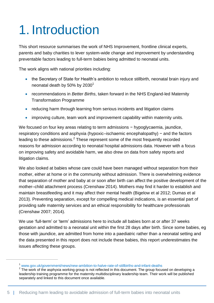## <span id="page-4-0"></span>1. Introduction

This short resource summarises the work of NHS Improvement, frontline clinical experts, parents and baby charities to lever system-wide change and improvement by understanding preventable factors leading to full-term babies being admitted to neonatal units.

The work aligns with national priorities including:

- the Secretary of State for Health's ambition to reduce stillbirth, neonatal brain injury and neonatal death by 50% by  $2030<sup>1</sup>$
- recommendations in *Better Births*, taken forward in the NHS England-led Maternity Transformation Programme
- reducing harm through learning from serious incidents and litigation claims
- improving culture, team work and improvement capability within maternity units.

We focused on four key areas relating to term admissions − hypoglycaemia, jaundice, respiratory conditions and asphyxia (hypoxic–ischaemic encephalopathy) − and the factors leading to these admissions.<sup>2</sup> These represent some of the most frequently recorded reasons for admission according to neonatal hospital admissions data. However with a focus on improving safety and avoidable harm, we also drew on data from safety reports and litigation claims.

We also looked at babies whose care could have been managed without separation from their mother, either at home or in the community without admission. There is overwhelming evidence that separation of mother and baby at or soon after birth can affect the positive development of the mother–child attachment process (Crenshaw 2014). Mothers may find it harder to establish and maintain breastfeeding and it may affect their mental health (Bigelow et al 2012; Dumas et al 2013). Preventing separation, except for compelling medical indications, is an essential part of providing safe maternity services and an ethical responsibility for healthcare professionals (Crenshaw 2007; 2014).

We use 'full-term' or 'term' admissions here to include all babies born at or after 37 weeks gestation and admitted to a neonatal unit within the first 28 days after birth. Since some babies, eg those with jaundice, are admitted from home into a paediatric rather than a neonatal setting and the data presented in this report does not include these babies, this report underestimates the issues affecting these groups.

 $\overline{a}$ 

<sup>1</sup> [www.gov.uk/government/news/new-ambition-to-halve-rate-of-stillbirths-and-infant-deaths](file:///C:/Users/MUpton/AppData/Local/Microsoft/Windows/Temporary%20Internet%20Files/Content.Outlook/EWSX7JNB/www.gov.uk/government/news/new-ambition-to-halve-rate-of-stillbirths-and-infant-deaths)

 $2$  The work of the asphyxia working group is not reflected in this document. The group focused on developing a leadership training programme for the maternity multidisciplinary leadership team. Their work will be published separately and linked to this document once available.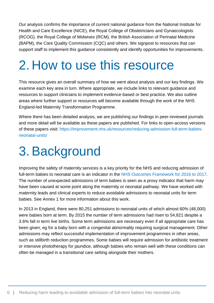Our analysis confirms the importance of current national guidance from the National Institute for Health and Care Excellence (NICE), the Royal College of Obstetricians and Gynaecologists (RCOG), the Royal College of Midwives (RCM), the British Association of Perinatal Medicine (BAPM), the Care Quality Commission (CQC) and others. We signpost to resources that can support staff to implement this guidance consistently and identify opportunities for improvements.

### <span id="page-5-0"></span>2. How to use this resource

This resource gives an overall summary of how we went about analysis and our key findings. We examine each key area in turn. Where appropriate, we include links to relevant guidance and resources to support clinicians to implement evidence-based or best practice. We also outline areas where further support or resources will become available through the work of the NHS England-led Maternity Transformation Programme.

Where there has been detailed analysis, we are publishing our findings in peer-reviewed journals and more detail will be available as these papers are published. For links to open-access versions of these papers visit: [https://improvement.nhs.uk/resources/reducing-admission-full-term-babies](https://improvement.nhs.uk/resources/reducing-admission-full-term-babies-neonatal-units/)[neonatal-units/](https://improvement.nhs.uk/resources/reducing-admission-full-term-babies-neonatal-units/)

## <span id="page-5-1"></span>3.Background

Improving the safety of maternity services is a key priority for the NHS and reducing admission of full-term babies to neonatal care is an indicator in the [NHS Outcomes Framework for 2016 to 2017.](https://www.gov.uk/government/publications/nhs-outcomes-framework-2016-to-2017) The number of unexpected admissions of term babies is seen as a proxy indicator that harm may have been caused at some point along the maternity or neonatal pathway. We have worked with maternity leads and clinical experts to reduce avoidable admissions to neonatal units for term babies. See Annex 1 for more information about this work.

In 2013 in England, there were 80,251 admissions to neonatal units of which almost 60% (48,000) were babies born at term. By 2015 the number of term admissions had risen to 54,821 despite a 3.6% fall in term live births. Some term admissions are necessary even if all appropriate care has been given, eg for a baby born with a congenital abnormality requiring surgical management. Other admissions may reflect successful implementation of improvement programmes in other areas, such as stillbirth reduction programmes. Some babies will require admission for antibiotic treatment or intensive phototherapy for jaundice, although babies who remain well with these conditions can often be managed in a transitional care setting alongside their mothers.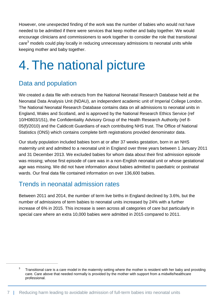However, one unexpected finding of the work was the number of babies who would not have needed to be admitted if there were services that keep mother and baby together. We would encourage clinicians and commissioners to work together to consider the role that transitional care $3$  models could play locally in reducing unnecessary admissions to neonatal units while keeping mother and baby together.

## <span id="page-6-0"></span>4. The national picture

#### Data and population

 $\overline{a}$ 

We created a data file with extracts from the National Neonatal Research Database held at the Neonatal Data Analysis Unit (NDAU), an independent academic unit of Imperial College London. The National Neonatal Research Database contains data on all admissions to neonatal units in England, Wales and Scotland, and is approved by the National Research Ethics Service (ref 10/H0803/151), the Confidentiality Advisory Group of the Health Research Authority (ref 8- 05(f)/2010) and the Caldicott Guardians of each contributing NHS trust. The Office of National Statistics (ONS) which contains complete birth registrations provided denominator data.

Our study population included babies born at or after 37 weeks gestation, born in an NHS maternity unit and admitted to a neonatal unit in England over three years between 1 January 2011 and 31 December 2013. We excluded babies for whom data about their first admission episode was missing; whose first episode of care was in a non-English neonatal unit or whose gestational age was missing. We did not have information about babies admitted to paediatric or postnatal wards. Our final data file contained information on over 136,600 babies.

#### Trends in neonatal admission rates

Between 2011 and 2014, the number of term live births in England declined by 3.6%, but the number of admissions of term babies to neonatal units increased by 24% with a further increase of 6% in 2015. This increase is seen across all categories of care but particularly in special care where an extra 10,000 babies were admitted in 2015 compared to 2011.

<sup>3</sup> Transitional care is a care model in the maternity setting where the mother is resident with her baby and providing care. Care above that needed normally is provided by the mother with support from a midwife/healthcare professional.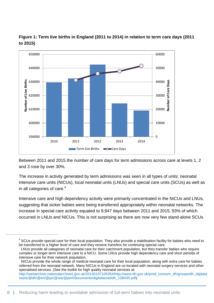

**Figure 1: Term live births in England (2011 to 2014) in relation to term care days (2011 to 2015)**

Between 2011 and 2015 the number of care days for term admissions across care at levels 1, 2 and 3 rose by over 30%.

The increase in activity generated by term admissions was seen in all types of units: neonatal intensive care units (NICUs), local neonatal units (LNUs) and special care units (SCUs) as well as in all categories of care.<sup>4</sup>

Intensive care and high dependency activity were primarily concentrated in the NICUs and LNUs, suggesting that sicker babies were being transferred appropriately within neonatal networks. The increase in special care activity equated to 9,947 days between 2011 and 2015, 93% of which occurred in LNUs and NICUs. This is not surprising as there are now very few stand-alone SCUs.

 NICUs provide the whole range of medical neonatal care for their local population, along with extra care for babies referred from the neonatal network. Many NICUs in England are co-located with neonatal surgery services and other specialised services. (See the toolkit for high quality neonatal services at:

[http://webarchive.nationalarchives.gov.uk/20130107105354/http://www.dh.gov.uk/prod\\_consum\\_dh/groups/dh\\_digitala](http://webarchive.nationalarchives.gov.uk/20130107105354/http:/www.dh.gov.uk/prod_consum_dh/groups/dh_digitalassets/@dh/@en/@ps/@sta/@perf/documents/digitalasset/dh_108435.pdf) [ssets/@dh/@en/@ps/@sta/@perf/documents/digitalasset/dh\\_108435.pdf\)](http://webarchive.nationalarchives.gov.uk/20130107105354/http:/www.dh.gov.uk/prod_consum_dh/groups/dh_digitalassets/@dh/@en/@ps/@sta/@perf/documents/digitalasset/dh_108435.pdf)

 $\overline{a}$ 

<sup>&</sup>lt;sup>4</sup> SCUs provide special care for their local population. They also provide a stabilisation facility for babies who need to be transferred to a higher level of care and they receive transfers for continuing special care.

LNUs provide all categories of neonatal care for their catchment population, but they transfer babies who require complex or longer-term intensive care to a NICU. Some LNUs provide high dependency care and short periods of intensive care for their network population.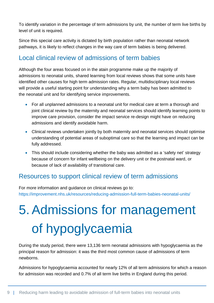To identify variation in the percentage of term admissions by unit, the number of term live births by level of unit is required.

Since this special care activity is dictated by birth population rather than neonatal network pathways, it is likely to reflect changes in the way care of term babies is being delivered.

#### Local clinical review of admissions of term babies

Although the four areas focused on in the atain programme make up the majority of admissions to neonatal units, shared learning from local reviews shows that some units have identified other causes for high term admission rates. Regular, multidisciplinary local reviews will provide a useful starting point for understanding why a term baby has been admitted to the neonatal unit and for identifying service improvements.

- For all unplanned admissions to a neonatal unit for medical care at term a thorough and joint clinical review by the maternity and neonatal services should identify learning points to improve care provision, consider the impact service re-design might have on reducing admissions and identify avoidable harm.
- Clinical reviews undertaken jointly by both maternity and neonatal services should optimise understanding of potential areas of suboptimal care so that the learning and impact can be fully addressed.
- This should include considering whether the baby was admitted as a 'safety net' strategy because of concern for infant wellbeing on the delivery unit or the postnatal ward, or because of lack of availability of transitional care.

#### Resources to support clinical review of term admissions

For more information and guidance on clinical reviews go to: <https://improvement.nhs.uk/resources/reducing-admission-full-term-babies-neonatal-units/>

# <span id="page-8-0"></span>5.Admissions for management of hypoglycaemia

During the study period, there were 13,136 term neonatal admissions with hypoglycaemia as the principal reason for admission: it was the third most common cause of admissions of term newborns.

Admissions for hypoglycaemia accounted for nearly 12% of all term admissions for which a reason for admission was recorded and 0.7% of all term live births in England during this period.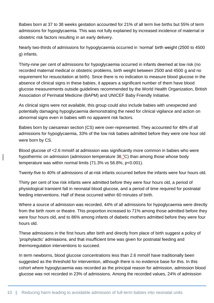Babies born at 37 to 38 weeks gestation accounted for 21% of all term live births but 55% of term admissions for hypoglycaemia. This was not fully explained by increased incidence of maternal or obstetric risk factors resulting in an early delivery.

Nearly two-thirds of admissions for hypoglycaemia occurred in 'normal' birth weight (2500 to 4500 g) infants.

Thirty-nine per cent of admissions for hypoglycaemia occurred in infants deemed at low risk (no recorded maternal medical or obstetric problems, birth weight between 2500 and 4500 g and no requirement for resuscitation at birth). Since there is no indication to measure blood glucose in the absence of clinical signs in these babies, it appears a significant number of them have blood glucose measurements outside guidelines recommended by the World Health Organization, British Association of Perinatal Medicine (BAPM) and UNICEF Baby Friendly Initiative.

As clinical signs were not available, this group could also include babies with unexpected and potentially damaging hypoglycaemia demonstrating the need for clinical vigilance and action on abnormal signs even in babies with no apparent risk factors.

Babies born by caesarean section (CS) were over-represented. They accounted for 48% of all admissions for hypoglycaemia, 33% of the low risk babies admitted before they were one hour old were born by CS.

Blood glucose of <2.6 mmol/l at admission was significantly more common in babies who were hypothermic on admission (admission temperature  $36^{\circ}$ C) than among those whose body temperature was within normal limits (71.3% vs 56.8%, p<0.001).

Twenty-five to 40% of admissions of at-risk infants occurred before the infants were four hours old.

Thirty per cent of low risk infants were admitted before they were four hours old, a period of physiological transient fall in neonatal blood glucose, and a period of time required for postnatal feeding interventions. Half of these occurred within 60 minutes of birth.

Where a source of admission was recorded, 44% of all admissions for hypoglycaemia were directly from the birth room or theatre. This proportion increased to 71% among those admitted before they were four hours old, and to 86% among infants of diabetic mothers admitted before they were four hours old.

These admissions in the first hours after birth and directly from place of birth suggest a policy of 'prophylactic' admissions, and that insufficient time was given for postnatal feeding and thermoregulation interventions to succeed.

In term newborns, blood glucose concentrations less than 2.6 mmol/l have traditionally been suggested as the threshold for intervention, although there is no evidence base for this. In this cohort where hypoglycaemia was recorded as the principal reason for admission, admission blood glucose was not recorded in 23% of admissions. Among the recorded values, 24% of admission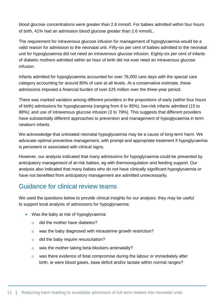blood glucose concentrations were greater than 2.6 mmol/l. For babies admitted within four hours of birth, 41% had an admission blood glucose greater than 2.6 mmol/L.

The requirement for intravenous glucose infusion for management of hypoglycaemia would be a valid reason for admission to the neonatal unit. Fifty-six per cent of babies admitted to the neonatal unit for hypoglycaemia did not need an intravenous glucose infusion. Eighty-six per cent of infants of diabetic mothers admitted within an hour of birth did not ever need an intravenous glucose infusion.

Infants admitted for hypoglycaemia accounted for over 76,000 care days with the special care category accounting for around 80% of care at all levels. At a conservative estimate, these admissions imposed a financial burden of over £25 million over the three-year period.

There was marked variation among different providers in the proportions of early (within four hours of birth) admissions for hypoglycaemia (ranging from 6 to 95%); low-risk infants admitted (15 to 88%); and use of intravenous glucose infusion (3 to 79%). This suggests that different providers have substantially different approaches to prevention and management of hypoglycaemia in term newborn infants.

We acknowledge that untreated neonatal hypoglycaemia may be a cause of long-term harm. We advocate optimal preventive management, with prompt and appropriate treatment if hypoglycaemia is persistent or associated with clinical signs.

However, our analysis indicated that many admissions for hypoglycaemia could be prevented by anticipatory management of at-risk babies, eg with thermoregulation and feeding support. Our analysis also indicated that many babies who do not have clinically significant hypoglycaemia or have not benefited from anticipatory management are admitted unnecessarily.

#### Guidance for clinical review teams

We used the questions below to provide clinical insights for our analysis: they may be useful to support local analysis of admissions for hypoglycaemia:

- Was the baby at risk of hypoglycaemia:
	- o did the mother have diabetes?
	- o was the baby diagnosed with intrauterine growth restriction?
	- o did the baby require resuscitation?
	- o was the mother taking beta-blockers antenatally?
	- o was there evidence of fetal compromise during the labour or immediately after birth, ie were blood gases, base deficit and/or lactate within normal ranges?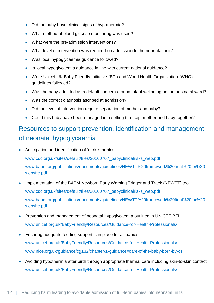- Did the baby have clinical signs of hypothermia?
- What method of blood glucose monitoring was used?
- What were the pre-admission interventions?
- What level of intervention was required on admission to the neonatal unit?
- Was local hypoglycaemia guidance followed?
- Is local hypoglycaemia guidance in line with current national guidance?
- Were Unicef UK Baby Friendly Initiative (BFI) and World Health Organization (WHO) guidelines followed?
- Was the baby admitted as a default concern around infant wellbeing on the postnatal ward?
- Was the correct diagnosis ascribed at admission?
- Did the level of intervention require separation of mother and baby?
- Could this baby have been managed in a setting that kept mother and baby together?

#### Resources to support prevention, identification and management of neonatal hypoglycaemia

Anticipation and identification of 'at risk' babies:

[www.cqc.org.uk/sites/default/files/20160707\\_babyclinicalrisks\\_web.pdf](https://www.cqc.org.uk/sites/default/files/20160707_babyclinicalrisks_web.pdf)

[www.bapm.org/publications/documents/guidelines/NEWTT%20framework%20final%20for%20](http://www.bapm.org/publications/documents/guidelines/NEWTT%20framework%20final%20for%20website.pdf) [website.pdf](http://www.bapm.org/publications/documents/guidelines/NEWTT%20framework%20final%20for%20website.pdf)

- Implementation of the BAPM Newborn Early Warning Trigger and Track (NEWTT) tool: [www.cqc.org.uk/sites/default/files/20160707\\_babyclinicalrisks\\_web.pdf](https://www.cqc.org.uk/sites/default/files/20160707_babyclinicalrisks_web.pdf) [www.bapm.org/publications/documents/guidelines/NEWTT%20framework%20final%20for%20](http://www.bapm.org/publications/documents/guidelines/NEWTT%20framework%20final%20for%20website.pdf) [website.pdf](http://www.bapm.org/publications/documents/guidelines/NEWTT%20framework%20final%20for%20website.pdf)
- Prevention and management of neonatal hypoglycaemia outlined in UNICEF BFI: [www.unicef.org.uk/BabyFriendly/Resources/Guidance-for-Health-Professionals/](http://www.unicef.org.uk/BabyFriendly/Resources/Guidance-for-Health-Professionals/)
- Ensuring adequate feeding support is in place for all babies: [www.unicef.org.uk/BabyFriendly/Resources/Guidance-for-Health-Professionals/](http://www.unicef.org.uk/BabyFriendly/Resources/Guidance-for-Health-Professionals/) [www.nice.org.uk/guidance/cg132/chapter/1-guidance#care-of-the-baby-born-by-cs](http://www.nice.org.uk/guidance/cg132/chapter/1-guidance#care-of-the-baby-born-by-cs)
- Avoiding hypothermia after birth through appropriate thermal care including skin-to-skin contact: [www.unicef.org.uk/BabyFriendly/Resources/Guidance-for-Health-Professionals/](http://www.unicef.org.uk/BabyFriendly/Resources/Guidance-for-Health-Professionals/)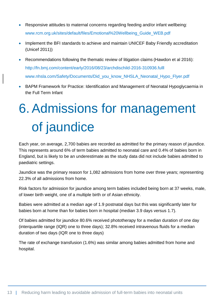- Responsive attitudes to maternal concerns regarding feeding and/or infant wellbeing: [www.rcm.org.uk/sites/default/files/Emotional%20Wellbeing\\_Guide\\_WEB.pdf](http://www.rcm.org.uk/sites/default/files/Emotional%20Wellbeing_Guide_WEB.pdf)
- Implement the BFI standards to achieve and maintain UNICEF Baby Friendly accreditation (Unicef 2011))
- Recommendations following the thematic review of litigation claims (Hawdon et al 2016): <http://fn.bmj.com/content/early/2016/08/23/archdischild-2016-310936.fulll> [www.nhsla.com/Safety/Documents/Did\\_you\\_know\\_NHSLA\\_Neonatal\\_Hypo\\_Flyer.pdf](http://www.nhsla.com/Safety/Documents/Did_you_know_NHSLA_Neonatal_Hypo_Flyer.pdf)
- BAPM Framework for Practice: Identification and Management of Neonatal Hypoglycaemia in the Full Term Infant

# <span id="page-12-0"></span>6.Admissions for management of jaundice

Each year, on average, 2,700 babies are recorded as admitted for the primary reason of jaundice. This represents around 6% of term babies admitted to neonatal care and 0.4% of babies born in England, but is likely to be an underestimate as the study data did not include babies admitted to paediatric settings.

Jaundice was the primary reason for 1,082 admissions from home over three years; representing 22.3% of all admissions from home.

Risk factors for admission for jaundice among term babies included being born at 37 weeks, male, of lower birth weight, one of a multiple birth or of Asian ethnicity.

Babies were admitted at a median age of 1.9 postnatal days but this was significantly later for babies born at home than for babies born in hospital (median 3.9 days versus 1.7).

Of babies admitted for jaundice 80.6% received phototherapy for a median duration of one day (interquartile range (IQR) one to three days); 32.8% received intravenous fluids for a median duration of two days (IQR one to three days)

The rate of exchange transfusion (1.6%) was similar among babies admitted from home and hospital.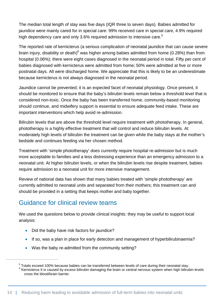The median total length of stay was five days (IQR three to seven days). Babies admitted for jaundice were mainly cared for in special care: 99% received care in special care, 4.9% required high dependency care and only 3.6% required admission to intensive care.<sup>5</sup>

The reported rate of kernicterus (a serious complication of neonatal jaundice that can cause severe brain injury, disability or death) $^6$  was higher among babies admitted from home (0.28%) than from hospital (0.06%); there were eight cases diagnosed in the neonatal period in total. Fifty per cent of babies diagnosed with kernicterus were admitted from home; 50% were admitted at five or more postnatal days. All were discharged home. We appreciate that this is likely to be an underestimate because kernicterus is not always diagnosed in the neonatal period.

Jaundice cannot be prevented; it is an expected facet of neonatal physiology. Once present, it should be monitored to ensure that the baby's bilirubin levels remain below a threshold level that is considered non-toxic. Once the baby has been transferred home, community-based monitoring should continue, and midwifery support is essential to ensure adequate feed intake. These are important interventions which help avoid re-admission.

Bilirubin levels that are above the threshold level require treatment with phototherapy. In general, phototherapy is a highly effective treatment that will control and reduce bilirubin levels. At moderately high levels of bilirubin the treatment can be given while the baby stays at the mother's bedside and continues feeding via her chosen method.

Treatment with 'simple phototherapy' does currently require hospital re-admission but is much more acceptable to families and a less distressing experience than an emergency admission to a neonatal unit. At higher bilirubin levels, or when the bilirubin levels rise despite treatment, babies require admission to a neonatal unit for more intensive management.

Review of national data has shown that many babies treated with 'simple phototherapy' are currently admitted to neonatal units and separated from their mothers; this treatment can and should be provided in a setting that keeps mother and baby together.

#### Guidance for clinical review teams

We used the questions below to provide clinical insights: they may be useful to support local analysis:

• Did the baby have risk factors for jaundice?

 $\overline{a}$ 

- If so, was a plan in place for early detection and management of hyperbilirubinaemia?
- Was the baby re-admitted from the community setting?

 $5$  Totals exceed 100% because babies can be transferred between levels of care during their neonatal stay.

<sup>&</sup>lt;sup>6</sup> Kernicterus It is caused by excess bilirubin damaging the brain or central nervous system when high bilirubin levels cross the blood/brain barrier.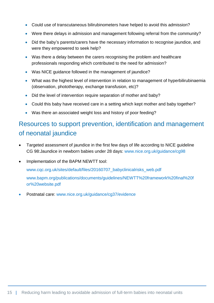- Could use of transcutaneous bilirubinometers have helped to avoid this admission?
- Were there delays in admission and management following referral from the community?
- Did the baby's parents/carers have the necessary information to recognise jaundice, and were they empowered to seek help?
- Was there a delay between the carers recognising the problem and healthcare professionals responding which contributed to the need for admission?
- Was NICE guidance followed in the management of jaundice?
- What was the highest level of intervention in relation to management of hyperbilirubinaemia (observation, phototherapy, exchange transfusion, etc)?
- Did the level of intervention require separation of mother and baby?
- Could this baby have received care in a setting which kept mother and baby together?
- Was there an associated weight loss and history of poor feeding?

#### Resources to support prevention, identification and management of neonatal jaundice

- Targeted assessment of jaundice in the first few days of life according to NICE guideline CG 98:Jaundice in newborn babies under 28 days: [www.nice.org.uk/guidance/cg98](https://www.nice.org.uk/guidance/cg98)
- Implementation of the BAPM NEWTT tool:

[www.cqc.org.uk/sites/default/files/20160707\\_babyclinicalrisks\\_web.pdf](https://www.cqc.org.uk/sites/default/files/20160707_babyclinicalrisks_web.pdf)

[www.bapm.org/publications/documents/guidelines/NEWTT%20framework%20final%20f](http://www.bapm.org/publications/documents/guidelines/NEWTT%20framework%20final%20for%20website.pdf) [or%20website.pdf](http://www.bapm.org/publications/documents/guidelines/NEWTT%20framework%20final%20for%20website.pdf)

Postnatal care: [www.nice.org.uk/guidance/cg37/evidence](https://www.nice.org.uk/guidance/cg37/evidence)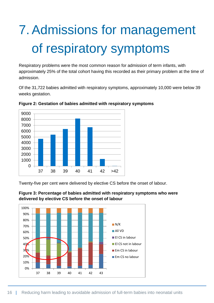# <span id="page-15-0"></span>7.Admissions for management of respiratory symptoms

Respiratory problems were the most common reason for admission of term infants, with approximately 25% of the total cohort having this recorded as their primary problem at the time of admission.

Of the 31,722 babies admitted with respiratory symptoms, approximately 10,000 were below 39 weeks gestation.





Twenty-five per cent were delivered by elective CS before the onset of labour.



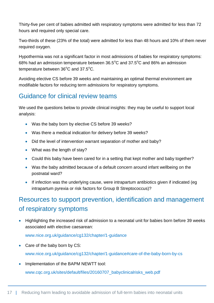Thirty-five per cent of babies admitted with respiratory symptoms were admitted for less than 72 hours and required only special care.

Two-thirds of these (23% of the total) were admitted for less than 48 hours and 10% of them never required oxygen.

Hypothermia was not a significant factor in most admissions of babies for respiratory symptoms: 68% had an admission temperature between  $36.5^{\circ}$ C and  $37.5^{\circ}$ C and 86% an admission temperature between  $36^{\circ}$ C and  $37.5^{\circ}$ C.

Avoiding elective CS before 39 weeks and maintaining an optimal thermal environment are modifiable factors for reducing term admissions for respiratory symptoms.

#### Guidance for clinical review teams

We used the questions below to provide clinical insights: they may be useful to support local analysis:

- . Was the baby born by elective CS before 39 weeks?
- Was there a medical indication for delivery before 39 weeks?
- Did the level of intervention warrant separation of mother and baby?
- What was the length of stay?
- Could this baby have been cared for in a setting that kept mother and baby together?
- Was the baby admitted because of a default concern around infant wellbeing on the postnatal ward?
- If infection was the underlying cause, were intrapartum antibiotics given if indicated (eg intrapartum pyrexia or risk factors for Group B Streptococcus)?

#### Resources to support prevention, identification and management of respiratory symptoms

• Highlighting the increased risk of admission to a neonatal unit for babies born before 39 weeks associated with elective caesarean:

[www.nice.org.uk/guidance/cg132/chapter/1-guidance](http://www.nice.org.uk/guidance/cg132/chapter/1-guidance)

- Care of the baby born by CS: [www.nice.org.uk/guidance/cg132/chapter/1-guidance#care-of-the-baby-born-by-cs](https://www.nice.org.uk/guidance/cg132/chapter/1-guidance#care-of-the-baby-born-by-cs)
- Implementation of the BAPM NEWTT tool:

[www.cqc.org.uk/sites/default/files/20160707\\_babyclinicalrisks\\_web.pdf](http://www.cqc.org.uk/sites/default/files/20160707_babyclinicalrisks_web.pdf)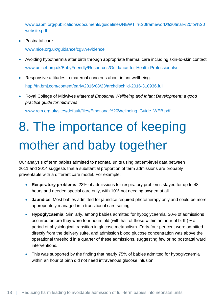[www.bapm.org/publications/documents/guidelines/NEWTT%20framework%20final%20for%20](http://www.bapm.org/publications/documents/guidelines/NEWTT%20framework%20final%20for%20website.pdf) [website.pdf](http://www.bapm.org/publications/documents/guidelines/NEWTT%20framework%20final%20for%20website.pdf)

Postnatal care:

[www.nice.org.uk/guidance/cg37/evidence](http://www.nice.org.uk/guidance/cg37/evidence)

- Avoiding hypothermia after birth through appropriate thermal care including skin-to-skin contact: [www.unicef.org.uk/BabyFriendly/Resources/Guidance-for-Health-Professionals/](http://www.unicef.org.uk/BabyFriendly/Resources/Guidance-for-Health-Professionals/)
- Responsive attitudes to maternal concerns about infant wellbeing: <http://fn.bmj.com/content/early/2016/08/23/archdischild-2016-310936.full>
- Royal College of Midwives *Maternal Emotional Wellbeing and Infant Development: a good practice guide for midwives*:

[www.rcm.org.uk/sites/default/files/Emotional%20Wellbeing\\_Guide\\_WEB.pdf](https://www.rcm.org.uk/sites/default/files/Emotional%20Wellbeing_Guide_WEB.pdf)

# <span id="page-17-0"></span>8. The importance of keeping mother and baby together

Our analysis of term babies admitted to neonatal units using patient-level data between 2011 and 2014 suggests that a substantial proportion of term admissions are probably preventable with a different care model. For example:

- **Respiratory problems**: 23% of admissions for respiratory problems stayed for up to 48 hours and needed special care only, with 10% not needing oxygen at all.
- **Jaundice**: Most babies admitted for jaundice required phototherapy only and could be more appropriately managed in a transitional care setting.
- **Hypoglycaemia:** Similarly, among babies admitted for hypoglycaemia, 30% of admissions occurred before they were four hours old (with half of these within an hour of birth) − a period of physiological transition in glucose metabolism. Forty-four per cent were admitted directly from the delivery suite, and admission blood glucose concentration was above the operational threshold in a quarter of these admissions, suggesting few or no postnatal ward interventions.
- This was supported by the finding that nearly 75% of babies admitted for hypoglycaemia within an hour of birth did not need intravenous glucose infusion.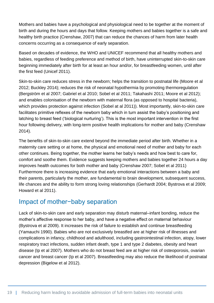Mothers and babies have a psychological and physiological need to be together at the moment of birth and during the hours and days that follow. Keeping mothers and babies together is a safe and healthy birth practice (Crenshaw, 2007) that can reduce the chances of harm from later health concerns occurring as a consequence of early separation.

Based on decades of evidence, the WHO and UNICEF recommend that all healthy mothers and babies, regardless of feeding preference and method of birth, have uninterrupted skin-to-skin care beginning immediately after birth for at least an hour and/or, for breastfeeding women, until after the first feed (Unicef 2011).

Skin-to-skin care reduces stress in the newborn; helps the transition to postnatal life (Moore et al 2012; Buckley 2014); reduces the risk of neonatal hypothermia by promoting thermoregulation (Bergström et al 2007; Gabriel et al 2010; Sobel et al 2011; Takahashi 2011; Moore et al 2012); and enables colonisation of the newborn with maternal flora (as opposed to hospital bacteria), which provides protection against infection (Sobel at al 2011)). Most importantly, skin-to-skin care facilitates primitive reflexes of the newborn baby which in turn assist the baby's positioning and latching to breast feed ('biological nurturing'). This is the most important intervention in the first hour following delivery, with long-term positive health implications for mother and baby (Crenshaw 2014).

The benefits of skin-to-skin care extend beyond the immediate period after birth. Whether in a maternity care setting or at home, the physical and emotional need of mother and baby for each other continues. Being together, the mother learns her baby's needs and how best to care for, comfort and soothe them. Evidence suggests keeping mothers and babies together 24 hours a day improves health outcomes for both mother and baby (Crenshaw 2007; Sobel et al 2011) Furthermore there is increasing evidence that early emotional interactions between a baby and their parents, particularly the mother, are fundamental to brain development, subsequent success, life chances and the ability to form strong loving relationships (Gerhardt 2004; Bystrova et al 2009; Howard et al 2011).

#### Impact of mother−baby separation

Lack of skin-to-skin care and early separation may disturb maternal–infant bonding, reduce the mother's affective response to her baby, and have a negative effect on maternal behaviour (Bystrova et al 2009). It increases the risk of failure to establish and continue breastfeeding (Yamauchi 1990). Babies who are not exclusively breastfed are at higher risk of illnesses and complications in infancy, childhood and adulthood, including gastrointestinal infection, atopy, lower respiratory tract infections, sudden infant death, type 1 and type 2 diabetes, obesity and heart disease (Ip et al 2007). Mothers who do not breast feed are at higher risk of osteoporosis, ovarian cancer and breast cancer (Ip et al 2007). Breastfeeding may also reduce the likelihood of postnatal depression (Bigelow et al 2012).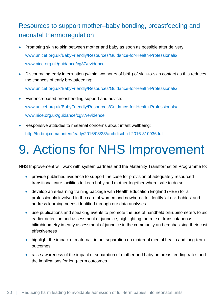#### Resources to support mother–baby bonding, breastfeeding and neonatal thermoregulation

- Promoting skin to skin between mother and baby as soon as possible after delivery: [www.unicef.org.uk/BabyFriendly/Resources/Guidance-for-Health-Professionals/](http://www.unicef.org.uk/BabyFriendly/Resources/Guidance-for-Health-Professionals/) [www.nice.org.uk/guidance/cg37/evidence](http://www.nice.org.uk/guidance/cg37/evidence)
- Discouraging early interruption (within two hours of birth) of skin-to-skin contact as this reduces the chances of early breastfeeding:

[www.unicef.org.uk/BabyFriendly/Resources/Guidance-for-Health-Professionals/](http://www.unicef.org.uk/BabyFriendly/Resources/Guidance-for-Health-Professionals/)

- Evidence-based breastfeeding support and advice: [www.unicef.org.uk/BabyFriendly/Resources/Guidance-for-Health-Professionals/](http://www.unicef.org.uk/BabyFriendly/Resources/Guidance-for-Health-Professionals/) [www.nice.org.uk/guidance/cg37/evidence](http://www.nice.org.uk/guidance/cg37/evidence)
- Responsive attitudes to maternal concerns about infant wellbeing: <http://fn.bmj.com/content/early/2016/08/23/archdischild-2016-310936.full>

## <span id="page-19-0"></span>9. Actions for NHS Improvement

NHS Improvement will work with system partners and the Maternity Transformation Programme to:

- provide published evidence to support the case for provision of adequately resourced transitional care facilities to keep baby and mother together where safe to do so
- develop an e-learning training package with Health Education England (HEE) for all professionals involved in the care of women and newborns to identify 'at risk babies' and address learning needs identified through our data analyses
- use publications and speaking events to promote the use of handheld bilirubinometers to aid earlier detection and assessment of jaundice; highlighting the role of transcutaneous bilirubinometry in early assessment of jaundice in the community and emphasising their cost effectiveness
- highlight the impact of maternal–infant separation on maternal mental health and long-term outcomes
- raise awareness of the impact of separation of mother and baby on breastfeeding rates and the implications for long-term outcomes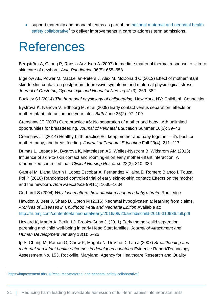support maternity and neonatal teams as part of the national maternal and neonatal health [safety collaborative](https://improvement.nhs.uk/resources/maternal-and-neonatal-safety-collaborative/)<sup>7</sup> to deliver improvements in care to address term admissions.

### <span id="page-20-0"></span>References

Bergström A, Okong P, Ransjö-Arvidson A (2007) Immediate maternal thermal response to skin-toskin care of newborn. *Acta Paediatrica* 96(5): 655–658

Bigelow AE, Power M, MacLellan-Peters J, Alex M, McDonald C (2012) Effect of mother/infant skin-to-skin contact on postpartum depressive symptoms and maternal physiological stress. *Journal of Obstetric, Gynecologic and Neonatal Nursing* 41(3): 369–382

Buckley SJ (2014) *The hormonal physiology of childbearing*. New York, NY: Childbirth Connection

Bystrova K, Ivanova V, Edhborg M, et al (2009) Early contact versus separation: effects on mother-infant interaction one year later. *Birth* June 36(2): 97–109

Crenshaw JT (2007) Care practice #6: No separation of mother and baby, with unlimited opportunities for breastfeeding. *Journal of Perinatal Education* Summer 16(3): 39–43

Crenshaw JT (2014) Healthy birth practice #6: keep mother and baby together – it's best for mother, baby, and breastfeeding. *Journal of Perinatal Education* Fall 23(4): 211–217

Dumas L, Lepage M, Bystrova K, Matthiesen AS, Welles-Nystrom B, Widstrom AM (2013) Influence of skin-to-skin contact and rooming-in on early mother-infant interaction: A randomized controlled trial. *Clinical Nursing Research* 22(3): 310–336

Gabriel M, Llana Martín I, Lopez Escobar A, Fernandez Villalba E, Romero Blanco I, Touza Pol P (2010) Randomized controlled trial of early skin-to-skin contact: Effects on the mother and the newborn. *Acta Paediatrica* 99(11): 1630–1634

Gerhardt S (2004) *Why love matters: how affection shapes a baby's brain*. Routledge

Hawdon J, Beer J, Sharp D, Upton M (2016) Neonatal hypoglycaemia: learning from claims. *Archives of Diseases in Childhood Fetal and Neonatal Edition* Available at: <http://fn.bmj.com/content/fetalneonatal/early/2016/08/23/archdischild-2016-310936.full.pdf>

Howard K, Martin A, Berlin LJ, Brooks-Gunn Jl (2011) Early mother-child separation, parenting and child well-being in early Head Start families. *Journal of Attachment and Human Development* January 13(1): 5–26

Ip S, Chung M, Raman G, Chew P, Magula N, DeVine D, Lau J (2007) *Breastfeeding and maternal and infant health outcomes in developed countries* Evidence Report/Technology Assessment No. 153. Rockville, Maryland: Agency for Healthcare Research and Quality

 $\overline{a}$ 

<sup>&</sup>lt;sup>7</sup> <https://improvement.nhs.uk/resources/maternal-and-neonatal-safety-collaborative/>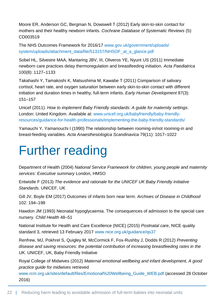Moore ER, Anderson GC, Bergman N, Dowswell T (2012) Early skin-to-skin contact for mothers and their healthy newborn infants. *Cochrane Database of Systematic Reviews* (5): CD003519

The NHS Outcomes Framework for 2016/17 [www.gov.uk/government/uploads/](http://www.gov.uk/government/uploads/system/uploads/attachment_data/file/513157/NHSOF_at_a_glance.pdf) [system/uploads/attachment\\_data/file/513157/NHSOF\\_at\\_a\\_glance.pdf](http://www.gov.uk/government/uploads/system/uploads/attachment_data/file/513157/NHSOF_at_a_glance.pdf)

Sobel HL, Silvestre MAA, Mantaring JBV, III, Oliveros YE, Nyunt US (2011) Immediate newborn care practices delay thermoregulation and breastfeeding initiation. *Acta Paediatrica* 100(8): 1127–1133

Takahashi Y, Tamakoshi K, Matsushima M, Kawabe T (2011) Comparison of salivary cortisol, heart rate, and oxygen saturation between early skin-to-skin contact with different initiation and duration times in healthy, full-term infants. *Early Human Development* 87(3): 151–157

Unicef (2011). *How to implement Baby Friendly standards: A guide for maternity settings*. London: United Kingdom. Available at: [www.unicef.org.uk/babyfriendly/baby-friendly](file:///C:/Users/MUpton/AppData/Local/Microsoft/Windows/Temporary%20Internet%20Files/Content.Outlook/EWSX7JNB/www.unicef.org.uk/babyfriendly/baby-friendly-resources/guidance-for-health-professionals/implementing-the-baby-friendly-standards/)[resources/guidance-for-health-professionals/implementing-the-baby-friendly-standards/](file:///C:/Users/MUpton/AppData/Local/Microsoft/Windows/Temporary%20Internet%20Files/Content.Outlook/EWSX7JNB/www.unicef.org.uk/babyfriendly/baby-friendly-resources/guidance-for-health-professionals/implementing-the-baby-friendly-standards/)

Yamauchi Y, Yamanouchi I (1990) The relationship between rooming-in/not rooming-in and breast-feeding variables. *Acta Anaesthesiologica Scandinavica* 79(11): 1017–1022

## <span id="page-21-0"></span>Further reading

Department of Health (2004) *National Service Framework for children, young people and maternity services: Executive summary* London, HMSO

Entwistle F (2013) *The evidence and rationale for the UNICEF UK Baby Friendly Initiative Standards*. UNICEF, UK

Gill JV, Boyle EM (2017) Outcomes of infants born near term. *Archives of Disease in Childhood* 102: 194–198

Hawdon JM (1993) Neonatal hypoglycaemia. The consequences of admission to the special care nursery. *Child Health* 48–51

National Institute for Health and Care Excellence (NICE) (2015) *Postnatal care*, NICE quality standard 3, retrieved 13 February 2017 [www.nice.org.uk/guidance/qs37](http://www.nice.org.uk/guidance/qs37)

Renfrew, MJ, Pokhrel S, Quigley M, McCormick F, Fox-Rushby J, Dodds R (2012) *Preventing disease and saving resources: the potential contribution of increasing breastfeeding rates in the UK.* UNICEF, UK, Baby Friendly Initiative

Royal College of Midwives (2012) *Maternal emotional wellbeing and infant development, A good practice guide for midwives* retrieved

[www.rcm.org.uk/sites/default/files/Emotional%20Wellbeing\\_Guide\\_WEB.pdf](http://www.rcm.org.uk/sites/default/files/Emotional%20Wellbeing_Guide_WEB.pdf) (accessed 28 October 2016)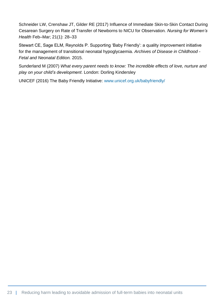Schneider LW, Crenshaw JT, Gilder RE (2017) Influence of Immediate Skin-to-Skin Contact During Cesarean Surgery on Rate of Transfer of Newborns to NICU for Observation*. Nursing for Women's Health* Feb–Mar; 21(1): 28–33

Stewart CE, Sage ELM, Reynolds P. Supporting 'Baby Friendly': a quality improvement initiative for the management of transitional neonatal hypoglycaemia. *Archives of Disease in Childhood - Fetal and Neonatal Edition.* 2015.

Sunderland M (2007) *What every parent needs to know: The incredible effects of love, nurture and play on your child's development*. London: Dorling Kindersley

UNICEF (2016) The Baby Friendly Initiative: [www.unicef.org.uk/babyfriendly/](http://www.unicef.org.uk/babyfriendly/)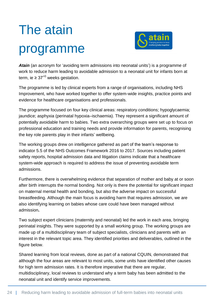# <span id="page-23-0"></span>The atain programme



*Atain* (an acronym for 'avoiding term admissions into neonatal units') is a programme of work to reduce harm leading to avoidable admission to a neonatal unit for infants born at term, ie  $\geq 37^{+0}$  weeks gestation.

The programme is led by clinical experts from a range of organisations, including NHS Improvement, who have worked together to offer system-wide insights, practice points and evidence for healthcare organisations and professionals.

The programme focused on four key clinical areas: respiratory conditions; hypoglycaemia; jaundice; asphyxia (perinatal hypoxia–ischaemia). They represent a significant amount of potentially avoidable harm to babies. Two extra overarching groups were set up to focus on professional education and training needs and provide information for parents, recognising the key role parents play in their infants' wellbeing.

The working groups drew on intelligence gathered as part of the team's response to indicator 5.5 of the NHS Outcomes Framework 2016 to 2017. Sources including patient safety reports, hospital admission data and litigation claims indicate that a healthcare system-wide approach is required to address the issue of preventing avoidable term admissions.

Furthermore, there is overwhelming evidence that separation of mother and baby at or soon after birth interrupts the normal bonding. Not only is there the potential for significant impact on maternal mental health and bonding, but also the adverse impact on successful breastfeeding. Although the main focus is avoiding harm that requires admission, we are also identifying learning on babies whose care could have been managed without admission**.** 

Two subject expert clinicians (maternity and neonatal) led the work in each area, bringing perinatal insights. They were supported by a small working group. The working groups are made up of a multidisciplinary team of subject specialists, clinicians and parents with an interest in the relevant topic area. They identified priorities and deliverables, outlined in the figure below.

Shared learning from local reviews, done as part of a national CQUIN, demonstrated that although the four areas are relevant to most units, some units have identified other causes for high term admission rates. It is therefore imperative that there are regular, multidisciplinary, local reviews to understand why a term baby has been admitted to the neonatal unit and identify service improvements.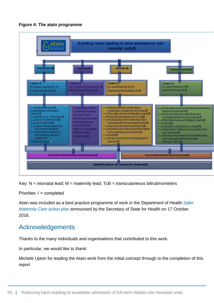

**Figure 4: The atain programme** 

Key:  $N =$  neonatal lead;  $M =$  maternity lead; TcB = transcutaneous bilirubinometers

Priorities  $\sqrt{\ }$  = completed

Atain was included as a best practice programme of work in the Department of Health *[Safer](https://www.gov.uk/government/publications/safer-maternity-care)  [Maternity Care](https://www.gov.uk/government/publications/safer-maternity-care) action plan* announced by the Secretary of State for Health on 17 October 2016.

#### Acknowledgements

Thanks to the many individuals and organisations that contributed to this work.

In particular, we would like to thank:

Michele Upton for leading the Atain work from the initial concept through to the completion of this report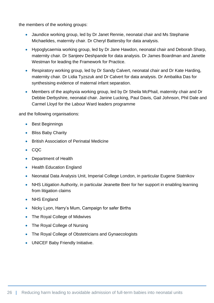the members of the working groups:

- Jaundice working group, led by Dr Janet Rennie, neonatal chair and Ms Stephanie Michaelides, maternity chair. Dr Cheryl Battersby for data analysis.
- Hypoglycaemia working group, led by Dr Jane Hawdon, neonatal chair and Deborah Sharp, maternity chair. Dr Sanjeev Deshpande for data analysis. Dr James Boardman and Janette Westman for leading the Framework for Practice.
- Respiratory working group, led by Dr Sandy Calvert, neonatal chair and Dr Kate Harding, maternity chair. Dr Lidia Tyzszuk and Dr Calvert for data analysis. Dr Ambalika Das for synthesising evidence of maternal infant separation.
- Members of the asphyxia working group, led by Dr Sheila McPhail, maternity chair and Dr Debbie Derbyshire, neonatal chair. Janine Lucking, Paul Davis, Gail Johnson, Phil Dale and Carmel Lloyd for the Labour Ward leaders programme

and the following organisations:

- Best Beginnings
- Bliss Baby Charity
- **British Association of Perinatal Medicine**
- CQC
- Department of Health
- Health Education England
- Neonatal Data Analysis Unit, Imperial College London, in particular Eugene Statnikov
- NHS Litigation Authority, in particular Jeanette Beer for her support in enabling learning from litigation claims
- NHS England
- Nicky Lyon, Harry's Mum, Campaign for safer Births
- The Royal College of Midwives
- The Royal College of Nursing
- The Royal College of Obstetricians and Gynaecologists
- UNICEF Baby Friendly Initiative.